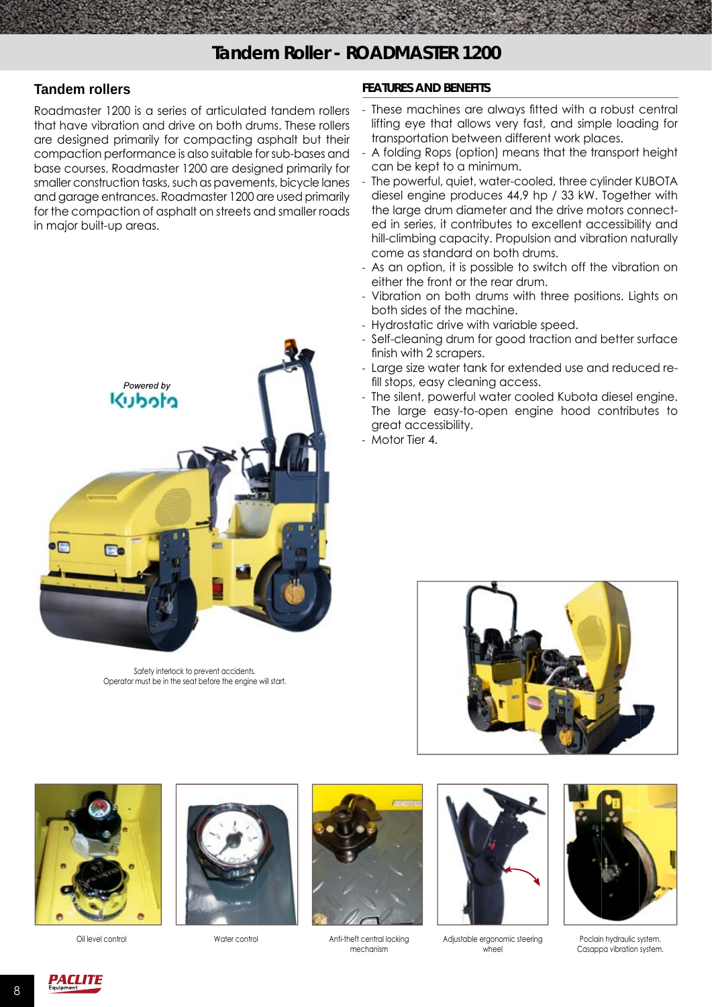## **Tandem rollers**

Roadmaster 1200 is a series of articulated tandem rollers that have vibration and drive on both drums. These rollers are designed primarily for compacting asphalt but their compaction performance is also suitable for sub-bases and base courses. Roadmaster 1200 are designed primarily for smaller construction tasks, such as pavements, bicycle lanes and garage entrances. Roadmaster 1200 are used primarily for the compaction of asphalt on streets and smaller roads in major built-up areas.



Safety interlock to prevent accidents. Operator must be in the seat before the engine will start.

## **FEATURES AND BENEFITS**

- These machines are always fitted with a robust central lifting eye that allows very fast, and simple loading for transportation between different work places.
- A folding Rops (option) means that the transport height can be kept to a minimum.
- The powerful, quiet, water-cooled, three cylinder KUBOTA diesel engine produces 44,9 hp / 33 kW. Together with the large drum diameter and the drive motors connected in series, it contributes to excellent accessibility and hill-climbing capacity. Propulsion and vibration naturally come as standard on both drums.
- As an option, it is possible to switch off the vibration on either the front or the rear drum.
- Vibration on both drums with three positions. Lights on both sides of the machine.
- Hydrostatic drive with variable speed.
- Self-cleaning drum for good traction and better surface finish with 2 scrapers.
- Large size water tank for extended use and reduced refill stops, easy cleaning access.
- The silent, powerful water cooled Kubota diesel engine. The large easy-to-open engine hood contributes to great accessibility.
- Motor Tier 4.









Water control **Anti-theft central locking** mechanism



Adjustable ergonomic steering Oil level control Poclain hydraulic system. wheel



Casappa vibration system.

8